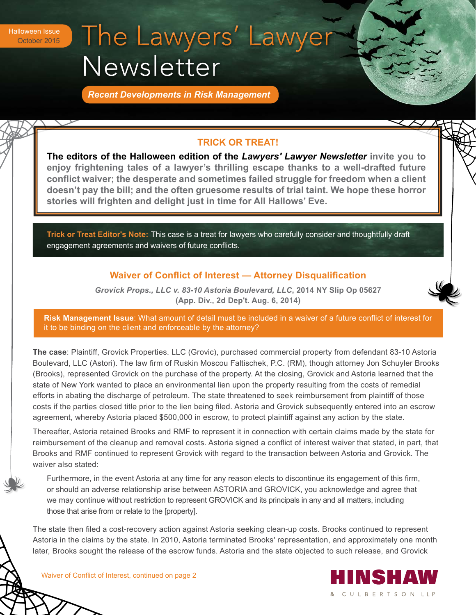# The Lawyers' Lawyer Halloween Issue October 2015 Newsletter

*Recent Developments in Risk Management*

## **TRICK OR TREAT!**

**The editors of the Halloween edition of the** *Lawyers' Lawyer Newsletter* **invite you to enjoy frightening tales of a lawyer's thrilling escape thanks to a well-drafted future conflict waiver; the desperate and sometimes failed struggle for freedom when a client doesn't pay the bill; and the often gruesome results of trial taint. We hope these horror stories will frighten and delight just in time for All Hallows' Eve.** 

**Trick or Treat Editor's Note:** This case is a treat for lawyers who carefully consider and thoughtfully draft engagement agreements and waivers of future conflicts.

### **Waiver of Conflict of Interest — Attorney Disqualification**

*Grovick Props., LLC v. 83-10 Astoria Boulevard, LLC***, 2014 NY Slip Op 05627 (App. Div., 2d Dep't. Aug. 6, 2014)** 

**Risk Management Issue**: What amount of detail must be included in a waiver of a future conflict of interest for it to be binding on the client and enforceable by the attorney?

**The case**: Plaintiff, Grovick Properties. LLC (Grovic), purchased commercial property from defendant 83-10 Astoria Boulevard, LLC (Astori). The law firm of Ruskin Moscou Faltischek, P.C. (RM), though attorney Jon Schuyler Brooks (Brooks), represented Grovick on the purchase of the property. At the closing, Grovick and Astoria learned that the state of New York wanted to place an environmental lien upon the property resulting from the costs of remedial efforts in abating the discharge of petroleum. The state threatened to seek reimbursement from plaintiff of those costs if the parties closed title prior to the lien being filed. Astoria and Grovick subsequently entered into an escrow agreement, whereby Astoria placed \$500,000 in escrow, to protect plaintiff against any action by the state.

Thereafter, Astoria retained Brooks and RMF to represent it in connection with certain claims made by the state for reimbursement of the cleanup and removal costs. Astoria signed a conflict of interest waiver that stated, in part, that Brooks and RMF continued to represent Grovick with regard to the transaction between Astoria and Grovick. The waiver also stated:

Furthermore, in the event Astoria at any time for any reason elects to discontinue its engagement of this firm, or should an adverse relationship arise between ASTORIA and GROVICK, you acknowledge and agree that we may continue without restriction to represent GROVICK and its principals in any and all matters, including those that arise from or relate to the [property].

The state then filed a cost-recovery action against Astoria seeking clean-up costs. Brooks continued to represent Astoria in the claims by the state. In 2010, Astoria terminated Brooks' representation, and approximately one month later, Brooks sought the release of the escrow funds. Astoria and the state objected to such release, and Grovick

> IINSHAV & CULBERTSON LLP

Waiver of Conflict of Interest, continued on page 2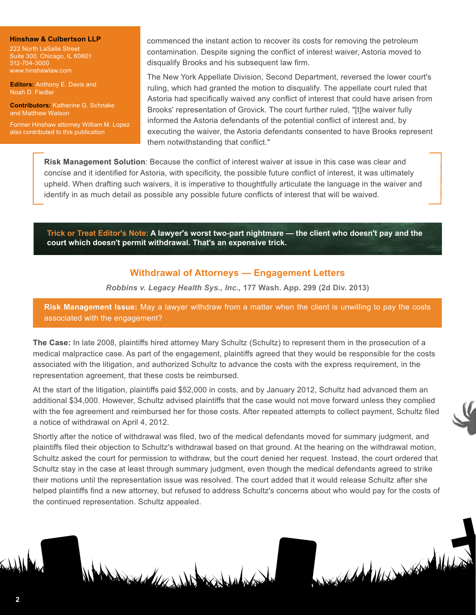#### **Hinshaw & Culbertson LLP**

222 North LaSalle Street Suite 300, Chicago, IL 60601 312-704-3000 www.hinshawlaw.com

**Editors:** Anthony E. Davis and Noah D. Fiedler

**Contributors:** Katherine G. Schnake and Matthew Watson

Former Hinshaw attorney William M. Lopez also contributed to this publication

commenced the instant action to recover its costs for removing the petroleum contamination. Despite signing the conflict of interest waiver, Astoria moved to disqualify Brooks and his subsequent law firm.

The New York Appellate Division, Second Department, reversed the lower court's ruling, which had granted the motion to disqualify. The appellate court ruled that Astoria had specifically waived any conflict of interest that could have arisen from Brooks' representation of Grovick. The court further ruled, "[t]he waiver fully informed the Astoria defendants of the potential conflict of interest and, by executing the waiver, the Astoria defendants consented to have Brooks represent them notwithstanding that conflict."

**Risk Management Solution**: Because the conflict of interest waiver at issue in this case was clear and concise and it identified for Astoria, with specificity, the possible future conflict of interest, it was ultimately upheld. When drafting such waivers, it is imperative to thoughtfully articulate the language in the waiver and identify in as much detail as possible any possible future conflicts of interest that will be waived.

**Trick or Treat Editor's Note: A lawyer's worst two-part nightmare — the client who doesn't pay and the court which doesn't permit withdrawal. That's an expensive trick.**

### **Withdrawal of Attorneys — Engagement Letters**

*Robbins v. Legacy Health Sys., Inc.,* **177 Wash. App. 299 (2d Div. 2013)**

**Risk Management Issue:** May a lawyer withdraw from a matter when the client is unwilling to pay the costs associated with the engagement?

**The Case:** In late 2008, plaintiffs hired attorney Mary Schultz (Schultz) to represent them in the prosecution of a medical malpractice case. As part of the engagement, plaintiffs agreed that they would be responsible for the costs associated with the litigation, and authorized Schultz to advance the costs with the express requirement, in the representation agreement, that these costs be reimbursed.

At the start of the litigation, plaintiffs paid \$52,000 in costs, and by January 2012, Schultz had advanced them an additional \$34,000. However, Schultz advised plaintiffs that the case would not move forward unless they complied with the fee agreement and reimbursed her for those costs. After repeated attempts to collect payment, Schultz filed a notice of withdrawal on April 4, 2012.

Shortly after the notice of withdrawal was filed, two of the medical defendants moved for summary judgment, and plaintiffs filed their objection to Schultz's withdrawal based on that ground. At the hearing on the withdrawal motion, Schultz asked the court for permission to withdraw, but the court denied her request. Instead, the court ordered that Schultz stay in the case at least through summary judgment, even though the medical defendants agreed to strike their motions until the representation issue was resolved. The court added that it would release Schultz after she helped plaintiffs find a new attorney, but refused to address Schultz's concerns about who would pay for the costs of the continued representation. Schultz appealed.

Added Marsh

**2**

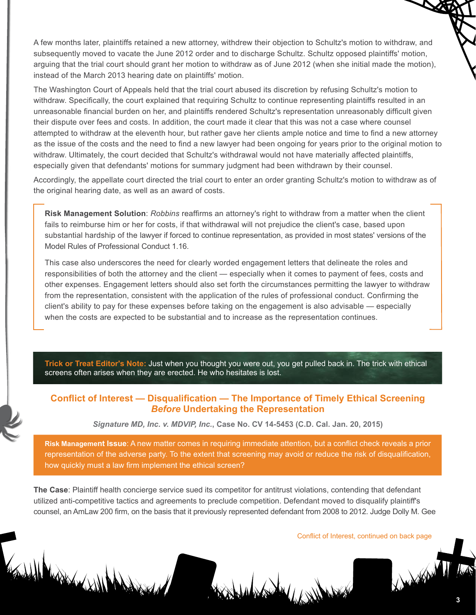A few months later, plaintiffs retained a new attorney, withdrew their objection to Schultz's motion to withdraw, and subsequently moved to vacate the June 2012 order and to discharge Schultz. Schultz opposed plaintiffs' motion, arguing that the trial court should grant her motion to withdraw as of June 2012 (when she initial made the motion), instead of the March 2013 hearing date on plaintiffs' motion.

The Washington Court of Appeals held that the trial court abused its discretion by refusing Schultz's motion to withdraw. Specifically, the court explained that requiring Schultz to continue representing plaintiffs resulted in an unreasonable financial burden on her, and plaintiffs rendered Schultz's representation unreasonably difficult given their dispute over fees and costs. In addition, the court made it clear that this was not a case where counsel attempted to withdraw at the eleventh hour, but rather gave her clients ample notice and time to find a new attorney as the issue of the costs and the need to find a new lawyer had been ongoing for years prior to the original motion to withdraw. Ultimately, the court decided that Schultz's withdrawal would not have materially affected plaintiffs, especially given that defendants' motions for summary judgment had been withdrawn by their counsel.

Accordingly, the appellate court directed the trial court to enter an order granting Schultz's motion to withdraw as of the original hearing date, as well as an award of costs.

**Risk Management Solution**: *Robbins* reaffirms an attorney's right to withdraw from a matter when the client fails to reimburse him or her for costs, if that withdrawal will not prejudice the client's case, based upon substantial hardship of the lawyer if forced to continue representation, as provided in most states' versions of the Model Rules of Professional Conduct 1.16.

This case also underscores the need for clearly worded engagement letters that delineate the roles and responsibilities of both the attorney and the client — especially when it comes to payment of fees, costs and other expenses. Engagement letters should also set forth the circumstances permitting the lawyer to withdraw from the representation, consistent with the application of the rules of professional conduct. Confirming the client's ability to pay for these expenses before taking on the engagement is also advisable — especially when the costs are expected to be substantial and to increase as the representation continues.

**Trick or Treat Editor's Note:** Just when you thought you were out, you get pulled back in. The trick with ethical screens often arises when they are erected. He who hesitates is lost.

### **Conflict of Interest — Disqualification — The Importance of Timely Ethical Screening**  *Before* **Undertaking the Representation**

*Signature MD, Inc. v. MDVIP, Inc.***, Case No. CV 14-5453 (C.D. Cal. Jan. 20, 2015)**

**Risk Management Issue**: A new matter comes in requiring immediate attention, but a conflict check reveals a prior representation of the adverse party. To the extent that screening may avoid or reduce the risk of disqualification, how quickly must a law firm implement the ethical screen?

**The Case**: Plaintiff health concierge service sued its competitor for antitrust violations, contending that defendant utilized anti-competitive tactics and agreements to preclude competition. Defendant moved to disqualify plaintiff's counsel, an AmLaw 200 firm, on the basis that it previously represented defendant from 2008 to 2012. Judge Dolly M. Gee

South Mary Williams

Conflict of Interest, continued on back page

Designation